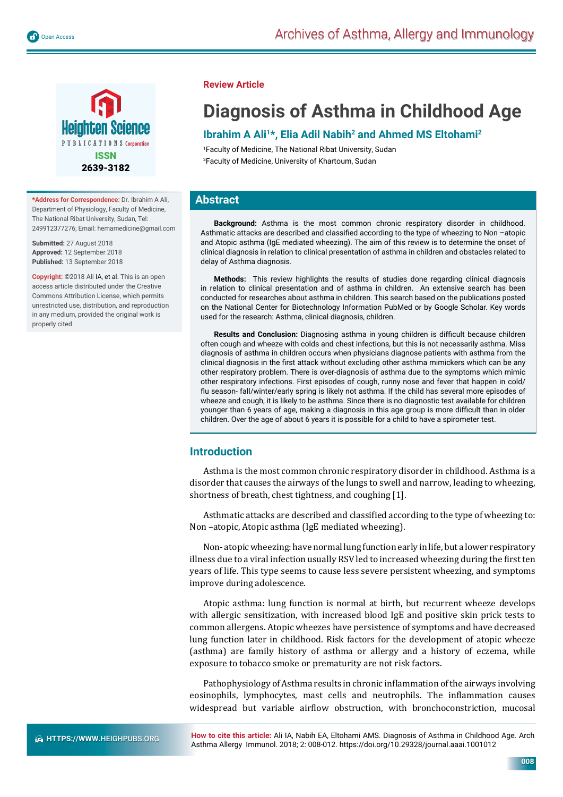

**\*Address for Correspondence:** Dr. Ibrahim A Ali, Department of Physiology, Faculty of Medicine, The National Ribat University, Sudan, Tel: 249912377276; Email: hemamedicine@gmail.com

**Submitted:** 27 August 2018 **Approved:** 12 September 2018 **Published:** 13 September 2018

**Copyright:** ©2018 Ali IA, et al. This is an open access article distributed under the Creative Commons Attribution License, which permits unrestricted use, distribution, and reproduction in any medium, provided the original work is properly cited.

## **Review Article**

# **Diagnosis of Asthma in Childhood Age**

# **Ibrahim A Ali1\*, Elia Adil Nabih2 and Ahmed MS Eltohami2**

1 Faculty of Medicine, The National Ribat University, Sudan 2 Faculty of Medicine, University of Khartoum, Sudan

# **Abstract**

**Background:** Asthma is the most common chronic respiratory disorder in childhood. Asthmatic attacks are described and classified according to the type of wheezing to Non -atopic and Atopic asthma (IgE mediated wheezing). The aim of this review is to determine the onset of clinical diagnosis in relation to clinical presentation of asthma in children and obstacles related to delay of Asthma diagnosis.

**Methods:** This review highlights the results of studies done regarding clinical diagnosis in relation to clinical presentation and of asthma in children. An extensive search has been conducted for researches about asthma in children. This search based on the publications posted on the National Center for Biotechnology Information PubMed or by Google Scholar. Key words used for the research: Asthma, clinical diagnosis, children.

**Results and Conclusion:** Diagnosing asthma in young children is difficult because children often cough and wheeze with colds and chest infections, but this is not necessarily asthma. Miss diagnosis of asthma in children occurs when physicians diagnose patients with asthma from the clinical diagnosis in the first attack without excluding other asthma mimickers which can be any other respiratory problem. There is over-diagnosis of asthma due to the symptoms which mimic other respiratory infections. First episodes of cough, runny nose and fever that happen in cold/ flu season- fall/winter/early spring is likely not asthma. If the child has several more episodes of wheeze and cough, it is likely to be asthma. Since there is no diagnostic test available for children younger than 6 years of age, making a diagnosis in this age group is more difficult than in older children. Over the age of about 6 years it is possible for a child to have a spirometer test.

## **Introduction**

Asthma is the most common chronic respiratory disorder in childhood. Asthma is a disorder that causes the airways of the lungs to swell and narrow, leading to wheezing, shortness of breath, chest tightness, and coughing [1].

Asthmatic attacks are described and classified according to the type of wheezing to: Non –atopic, Atopic asthma (IgE mediated wheezing).

Non- atopic wheezing: have normal lung function early in life, but a lower respiratory illness due to a viral infection usually RSV led to increased wheezing during the first ten years of life. This type seems to cause less severe persistent wheezing, and symptoms improve during adolescence.

Atopic asthma: lung function is normal at birth, but recurrent wheeze develops with allergic sensitization, with increased blood IgE and positive skin prick tests to common allergens. Atopic wheezes have persistence of symptoms and have decreased lung function later in childhood. Risk factors for the development of atopic wheeze (asthma) are family history of asthma or allergy and a history of eczema, while exposure to tobacco smoke or prematurity are not risk factors.

Pathophysiology of Asthma results in chronic inflammation of the airways involving eosinophils, lymphocytes, mast cells and neutrophils. The inflammation causes widespread but variable airflow obstruction, with bronchoconstriction, mucosal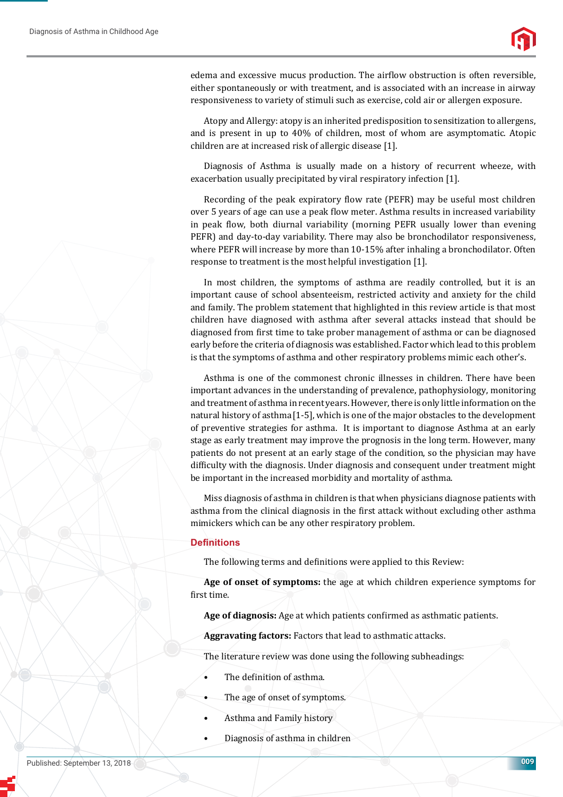

edema and excessive mucus production. The airflow obstruction is often reversible, either spontaneously or with treatment, and is associated with an increase in airway responsiveness to variety of stimuli such as exercise, cold air or allergen exposure.

Atopy and Allergy: atopy is an inherited predisposition to sensitization to allergens, and is present in up to 40% of children, most of whom are asymptomatic. Atopic children are at increased risk of allergic disease [1].

Diagnosis of Asthma is usually made on a history of recurrent wheeze, with exacerbation usually precipitated by viral respiratory infection [1].

Recording of the peak expiratory flow rate (PEFR) may be useful most children over 5 years of age can use a peak flow meter. Asthma results in increased variability in peak flow, both diurnal variability (morning PEFR usually lower than evening PEFR) and day-to-day variability. There may also be bronchodilator responsiveness, where PEFR will increase by more than 10-15% after inhaling a bronchodilator. Often response to treatment is the most helpful investigation [1].

In most children, the symptoms of asthma are readily controlled, but it is an important cause of school absenteeism, restricted activity and anxiety for the child and family. The problem statement that highlighted in this review article is that most children have diagnosed with asthma after several attacks instead that should be diagnosed from first time to take prober management of asthma or can be diagnosed early before the criteria of diagnosis was established. Factor which lead to this problem is that the symptoms of asthma and other respiratory problems mimic each other's.

Asthma is one of the commonest chronic illnesses in children. There have been important advances in the understanding of prevalence, pathophysiology, monitoring and treatment of asthma in recent years. However, there is only little information on the natural history of asthma[1-5], which is one of the major obstacles to the development of preventive strategies for asthma. It is important to diagnose Asthma at an early stage as early treatment may improve the prognosis in the long term. However, many patients do not present at an early stage of the condition, so the physician may have difficulty with the diagnosis. Under diagnosis and consequent under treatment might be important in the increased morbidity and mortality of asthma.

Miss diagnosis of asthma in children is that when physicians diagnose patients with asthma from the clinical diagnosis in the first attack without excluding other asthma mimickers which can be any other respiratory problem.

#### **Defi nitions**

The following terms and definitions were applied to this Review:

**Age of onset of symptoms:** the age at which children experience symptoms for first time.

**Age of diagnosis:** Age at which patients confirmed as asthmatic patients.

**Aggravating factors:** Factors that lead to asthmatic attacks.

The literature review was done using the following subheadings:

- The definition of asthma.
- The age of onset of symptoms.
- Asthma and Family history
- Diagnosis of asthma in children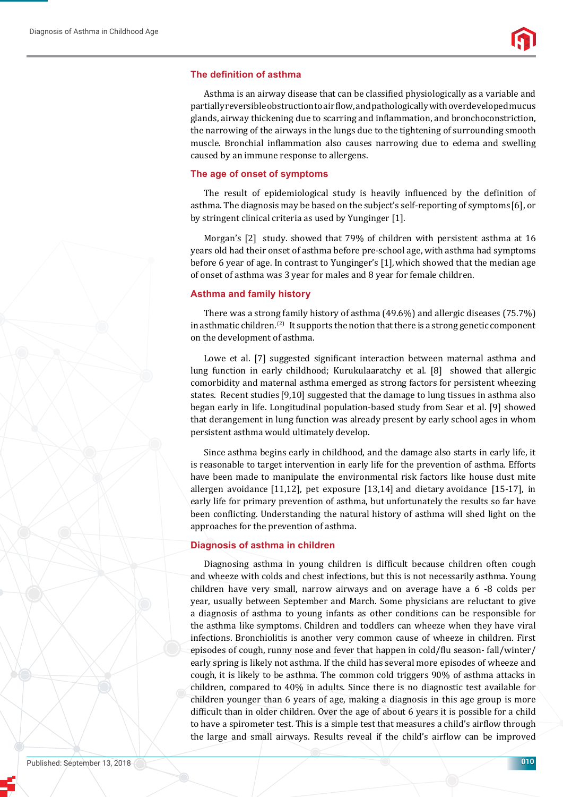#### **The definition of asthma**

Asthma is an airway disease that can be classified physiologically as a variable and partially reversible obstruction to air flow, and pathologically with overdeveloped mucus glands, airway thickening due to scarring and inflammation, and bronchoconstriction, the narrowing of the airways in the lungs due to the tightening of surrounding smooth muscle. Bronchial inflammation also causes narrowing due to edema and swelling caused by an immune response to allergens.

#### **The age of onset of symptoms**

The result of epidemiological study is heavily influenced by the definition of asthma. The diagnosis may be based on the subject's self-reporting of symptoms [6], or by stringent clinical criteria as used by Yunginger [1].

Morgan's [2] study. showed that 79% of children with persistent asthma at 16 years old had their onset of asthma before pre-school age, with asthma had symptoms before 6 year of age. In contrast to Yunginger's [1], which showed that the median age of onset of asthma was 3 year for males and 8 year for female children.

#### **Asthma and family history**

There was a strong family history of asthma (49.6%) and allergic diseases (75.7%) in asthmatic children.<sup>(2)</sup> It supports the notion that there is a strong genetic component on the development of asthma.

Lowe et al. [7] suggested significant interaction between maternal asthma and lung function in early childhood; Kurukulaaratchy et al. [8] showed that allergic comorbidity and maternal asthma emerged as strong factors for persistent wheezing states. Recent studies [9,10] suggested that the damage to lung tissues in asthma also began early in life. Longitudinal population-based study from Sear et al. [9] showed that derangement in lung function was already present by early school ages in whom persistent asthma would ultimately develop.

Since asthma begins early in childhood, and the damage also starts in early life, it is reasonable to target intervention in early life for the prevention of asthma. Efforts have been made to manipulate the environmental risk factors like house dust mite allergen avoidance [11,12], pet exposure [13,14] and dietary avoidance [15-17], in early life for primary prevention of asthma, but unfortunately the results so far have been conflicting. Understanding the natural history of asthma will shed light on the approaches for the prevention of asthma.

#### **Diagnosis of asthma in children**

Diagnosing asthma in young children is difficult because children often cough and wheeze with colds and chest infections, but this is not necessarily asthma. Young children have very small, narrow airways and on average have a 6 -8 colds per year, usually between September and March. Some physicians are reluctant to give a diagnosis of asthma to young infants as other conditions can be responsible for the asthma like symptoms. Children and toddlers can wheeze when they have viral infections. Bronchiolitis is another very common cause of wheeze in children. First episodes of cough, runny nose and fever that happen in cold/flu season- fall/winter/ early spring is likely not asthma. If the child has several more episodes of wheeze and cough, it is likely to be asthma. The common cold triggers 90% of asthma attacks in children, compared to 40% in adults. Since there is no diagnostic test available for children younger than 6 years of age, making a diagnosis in this age group is more difficult than in older children. Over the age of about 6 years it is possible for a child to have a spirometer test. This is a simple test that measures a child's airflow through the large and small airways. Results reveal if the child's airflow can be improved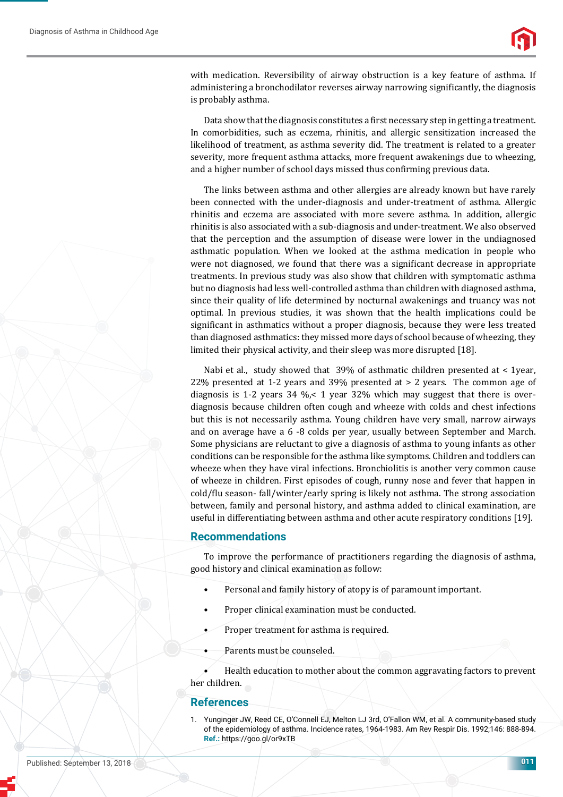

with medication. Reversibility of airway obstruction is a key feature of asthma. If administering a bronchodilator reverses airway narrowing significantly, the diagnosis is probably asthma.

Data show that the diagnosis constitutes a first necessary step in getting a treatment. In comorbidities, such as eczema, rhinitis, and allergic sensitization increased the likelihood of treatment, as asthma severity did. The treatment is related to a greater severity, more frequent asthma attacks, more frequent awakenings due to wheezing, and a higher number of school days missed thus confirming previous data.

The links between asthma and other allergies are already known but have rarely been connected with the under-diagnosis and under-treatment of asthma. Allergic rhinitis and eczema are associated with more severe asthma. In addition, allergic rhinitis is also associated with a sub-diagnosis and under-treatment. We also observed that the perception and the assumption of disease were lower in the undiagnosed asthmatic population. When we looked at the asthma medication in people who were not diagnosed, we found that there was a significant decrease in appropriate treatments. In previous study was also show that children with symptomatic asthma but no diagnosis had less well-controlled asthma than children with diagnosed asthma, since their quality of life determined by nocturnal awakenings and truancy was not optimal. In previous studies, it was shown that the health implications could be significant in asthmatics without a proper diagnosis, because they were less treated than diagnosed asthmatics: they missed more days of school because of wheezing, they limited their physical activity, and their sleep was more disrupted [18].

Nabi et al., study showed that 39% of asthmatic children presented at < 1year, 22% presented at 1-2 years and 39% presented at > 2 years. The common age of diagnosis is 1-2 years 34 %,< 1 year 32% which may suggest that there is overdiagnosis because children often cough and wheeze with colds and chest infections but this is not necessarily asthma. Young children have very small, narrow airways and on average have a 6 -8 colds per year, usually between September and March. Some physicians are reluctant to give a diagnosis of asthma to young infants as other conditions can be responsible for the asthma like symptoms. Children and toddlers can wheeze when they have viral infections. Bronchiolitis is another very common cause of wheeze in children. First episodes of cough, runny nose and fever that happen in cold/flu season- fall/winter/early spring is likely not asthma. The strong association between, family and personal history, and asthma added to clinical examination, are useful in differentiating between asthma and other acute respiratory conditions [19].

## **Recommendations**

To improve the performance of practitioners regarding the diagnosis of asthma, good history and clinical examination as follow:

- Personal and family history of atopy is of paramount important.
- Proper clinical examination must be conducted.
- Proper treatment for asthma is required.
- Parents must be counseled.

• Health education to mother about the common aggravating factors to prevent her children.

## **References**

1. Yunginger JW, Reed CE, O'Connell EJ, Melton LJ 3rd, O'Fallon WM, et al. A community-based study of the epidemiology of asthma. Incidence rates, 1964-1983. Am Rev Respir Dis. 1992;146: 888-894. **Ref.:** https://goo.gl/or9xTB